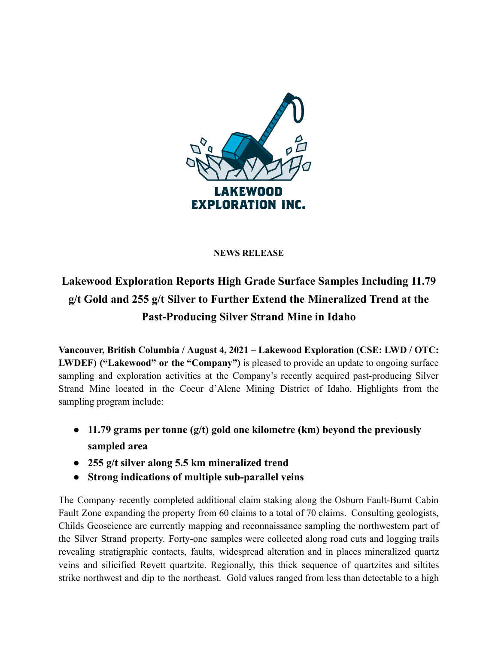

## **NEWS RELEASE**

## **Lakewood Exploration Reports High Grade Surface Samples Including 11.79 g/t Gold and 255 g/t Silver to Further Extend the Mineralized Trend at the Past-Producing Silver Strand Mine in Idaho**

**Vancouver, British Columbia / August 4, 2021 – Lakewood Exploration (CSE: LWD / OTC: LWDEF) ("Lakewood" or the "Company")** is pleased to provide an update to ongoing surface sampling and exploration activities at the Company's recently acquired past-producing Silver Strand Mine located in the Coeur d'Alene Mining District of Idaho. Highlights from the sampling program include:

- **● 11.79 grams per tonne (g/t) gold one kilometre (km) beyond the previously sampled area**
- **● 255 g/t silver along 5.5 km mineralized trend**
- **● Strong indications of multiple sub-parallel veins**

The Company recently completed additional claim staking along the Osburn Fault-Burnt Cabin Fault Zone expanding the property from 60 claims to a total of 70 claims. Consulting geologists, Childs Geoscience are currently mapping and reconnaissance sampling the northwestern part of the Silver Strand property. Forty-one samples were collected along road cuts and logging trails revealing stratigraphic contacts, faults, widespread alteration and in places mineralized quartz veins and silicified Revett quartzite. Regionally, this thick sequence of quartzites and siltites strike northwest and dip to the northeast. Gold values ranged from less than detectable to a high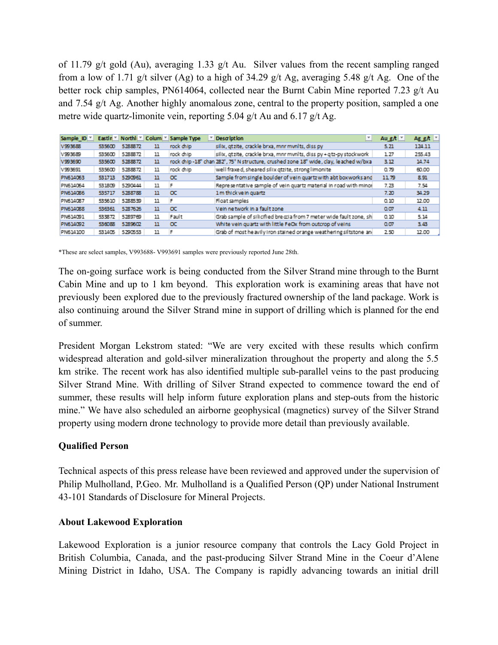of 11.79 g/t gold (Au), averaging 1.33 g/t Au. Silver values from the recent sampling ranged from a low of 1.71 g/t silver (Ag) to a high of 34.29 g/t Ag, averaging 5.48 g/t Ag. One of the better rock chip samples, PN614064, collected near the Burnt Cabin Mine reported 7.23 g/t Au and 7.54 g/t Ag. Another highly anomalous zone, central to the property position, sampled a one metre wide quartz-limonite vein, reporting 5.04 g/t Au and 6.17 g/t Ag.

| Sample ID <sup>V</sup> |        |         |     | Eastin * Northli * Colum * Sample Type | $\overline{\phantom{a}}$ Description<br>$\overline{\phantom{a}}$                     | Au g $\hbar$ $\overline{ }$ | $Aggh$ $\equiv$ |
|------------------------|--------|---------|-----|----------------------------------------|--------------------------------------------------------------------------------------|-----------------------------|-----------------|
| V993688                | 535600 | 5288872 | 11  | rock chip                              | silix, gtzite, crackle brxa, mnr mvnlts, diss py                                     | 5.21                        | 124.11          |
| V993689                | 535600 | 5288872 | 11  | rock chip                              | silix, gtzite, crackle brxa, mnr mynlts, diss py + gtz-py stockwork                  | 1.27                        | 255.43          |
| V993690                | 535600 | 5288872 | 11  |                                        | rock chip-18" chan 282°, 75° N structure, crushed zone 18" wide, clay, leached w/bxa | 3.12                        | 14.74           |
| V993691                | 535600 | 5288872 | 11  | rock chip                              | well fraxe d, sheared sillx gtzite, strong limonite                                  | 0.79                        | 60.00           |
| PN614063               | 531713 | 5290961 | 11  | $\alpha$                               | Sample from single boulder of vein quartz with abt boxworks and                      | 1179                        | 8.91            |
| PN614064               | 531809 | 5290444 | 11  | F                                      | Representative sample of vein quartz material in road with minor                     | 7.23                        | 7.54            |
| PN614086               | 535717 | 5288788 | 11. | $\alpha$                               | 1 m thick ye in quartz                                                               | 7.20                        | 34.29           |
| PN614087               | 535610 | 5288539 | 11  | F                                      | Float samples                                                                        | 0.10                        | 12.00           |
| <b>PN614088</b>        | 536361 | 5287626 | 11  | $\alpha$                               | Vein ne twork in a fault zone                                                        | 0.07                        | 4.11            |
| PN614091               | 533872 | 5289769 | 11  | Fault                                  | Grab sample of silicified breccia from 7 meter wide fault zone, sh                   | 0.10                        | 5.14            |
| PN614092               | 536088 | 5289602 | 11  | $\alpha$                               | White vein quartz with little FeOx from outcrop of veins                             | 0.07                        | 3.43            |
| PN614100               | 531405 | 5290553 | 11  |                                        | Grab of most he avily Iron stained or ange weathering siltstone and                  | 2.50                        | 12.00           |

\*These are select samples, V993688- V993691 samples were previously reported June 28th.

The on-going surface work is being conducted from the Silver Strand mine through to the Burnt Cabin Mine and up to 1 km beyond. This exploration work is examining areas that have not previously been explored due to the previously fractured ownership of the land package. Work is also continuing around the Silver Strand mine in support of drilling which is planned for the end of summer.

President Morgan Lekstrom stated: "We are very excited with these results which confirm widespread alteration and gold-silver mineralization throughout the property and along the 5.5 km strike. The recent work has also identified multiple sub-parallel veins to the past producing Silver Strand Mine. With drilling of Silver Strand expected to commence toward the end of summer, these results will help inform future exploration plans and step-outs from the historic mine." We have also scheduled an airborne geophysical (magnetics) survey of the Silver Strand property using modern drone technology to provide more detail than previously available.

## **Qualified Person**

Technical aspects of this press release have been reviewed and approved under the supervision of Philip Mulholland, P.Geo. Mr. Mulholland is a Qualified Person (QP) under National Instrument 43-101 Standards of Disclosure for Mineral Projects.

## **About Lakewood Exploration**

Lakewood Exploration is a junior resource company that controls the Lacy Gold Project in British Columbia, Canada, and the past-producing Silver Strand Mine in the Coeur d'Alene Mining District in Idaho, USA. The Company is rapidly advancing towards an initial drill